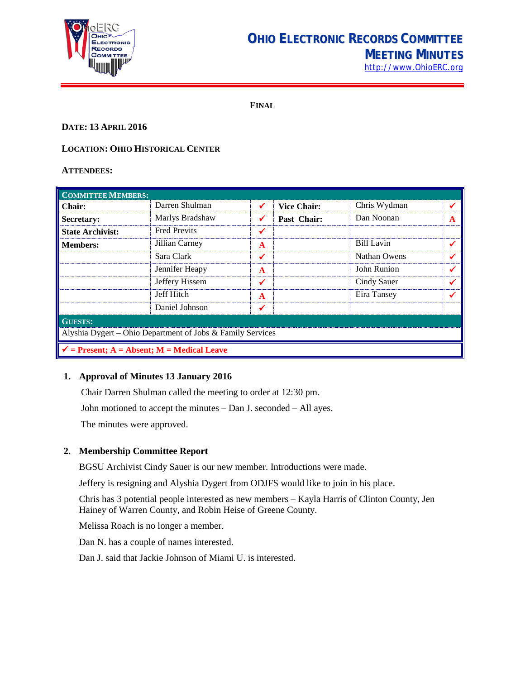

# **OHIO ELECTRONIC RECORDS COMMITTEE MEETING MINUTES**

[http://www.OhioERC.org](http://www.ohioerc.org/)

**FINAL**

# **DATE: 13 APRIL 2016**

# **LOCATION: OHIO HISTORICAL CENTER**

#### **ATTENDEES:**

| <b>COMMITTEE MEMBERS:</b>                                  |                     |   |                    |              |   |  |
|------------------------------------------------------------|---------------------|---|--------------------|--------------|---|--|
| Chair:                                                     | Darren Shulman      |   | <b>Vice Chair:</b> | Chris Wydman |   |  |
| Secretary:                                                 | Marlys Bradshaw     |   | Past Chair:        | Dan Noonan   | A |  |
| <b>State Archivist:</b>                                    | <b>Fred Previts</b> |   |                    |              |   |  |
| <b>Members:</b>                                            | Jillian Carney      | A |                    | Bill Lavin   |   |  |
|                                                            | Sara Clark          |   |                    | Nathan Owens |   |  |
|                                                            | Jennifer Heapy      | A |                    | John Runion  |   |  |
|                                                            | Jeffery Hissem      |   |                    | Cindy Sauer  |   |  |
|                                                            | Jeff Hitch          |   |                    | Eira Tansey  |   |  |
|                                                            | Daniel Johnson      |   |                    |              |   |  |
| <b>GUESTS:</b>                                             |                     |   |                    |              |   |  |
| Alyshia Dygert - Ohio Department of Jobs & Family Services |                     |   |                    |              |   |  |
| $\checkmark$ = Present; A = Absent; M = Medical Leave      |                     |   |                    |              |   |  |

#### **1. Approval of Minutes 13 January 2016**

Chair Darren Shulman called the meeting to order at 12:30 pm.

John motioned to accept the minutes – Dan J. seconded – All ayes.

The minutes were approved.

#### **2. Membership Committee Report**

BGSU Archivist Cindy Sauer is our new member. Introductions were made.

Jeffery is resigning and Alyshia Dygert from ODJFS would like to join in his place.

Chris has 3 potential people interested as new members – Kayla Harris of Clinton County, Jen Hainey of Warren County, and Robin Heise of Greene County.

Melissa Roach is no longer a member.

Dan N. has a couple of names interested.

Dan J. said that Jackie Johnson of Miami U. is interested.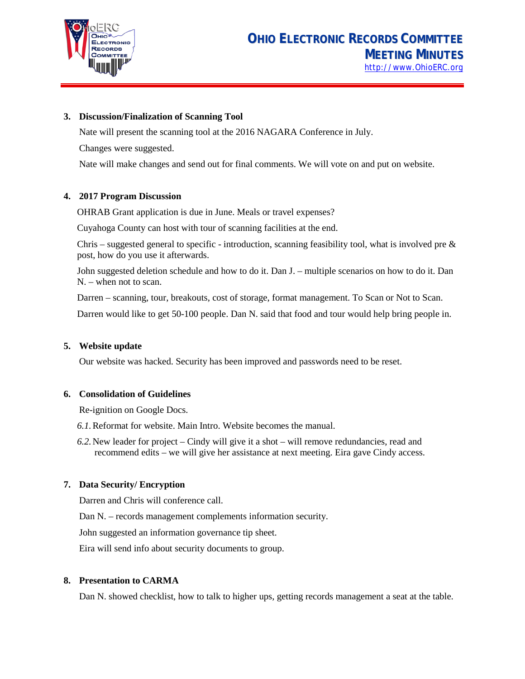

#### **3. Discussion/Finalization of Scanning Tool**

Nate will present the scanning tool at the 2016 NAGARA Conference in July.

Changes were suggested.

Nate will make changes and send out for final comments. We will vote on and put on website.

# **4. 2017 Program Discussion**

OHRAB Grant application is due in June. Meals or travel expenses?

Cuyahoga County can host with tour of scanning facilities at the end.

Chris – suggested general to specific - introduction, scanning feasibility tool, what is involved pre  $\&$ post, how do you use it afterwards.

John suggested deletion schedule and how to do it. Dan J. – multiple scenarios on how to do it. Dan N. – when not to scan.

Darren – scanning, tour, breakouts, cost of storage, format management. To Scan or Not to Scan.

Darren would like to get 50-100 people. Dan N. said that food and tour would help bring people in.

#### **5. Website update**

Our website was hacked. Security has been improved and passwords need to be reset.

#### **6. Consolidation of Guidelines**

Re-ignition on Google Docs.

- *6.1.*Reformat for website. Main Intro. Website becomes the manual.
- *6.2.*New leader for project Cindy will give it a shot will remove redundancies, read and recommend edits – we will give her assistance at next meeting. Eira gave Cindy access.

# **7. Data Security/ Encryption**

Darren and Chris will conference call.

Dan N. – records management complements information security.

John suggested an information governance tip sheet.

Eira will send info about security documents to group.

#### **8. Presentation to CARMA**

Dan N. showed checklist, how to talk to higher ups, getting records management a seat at the table.